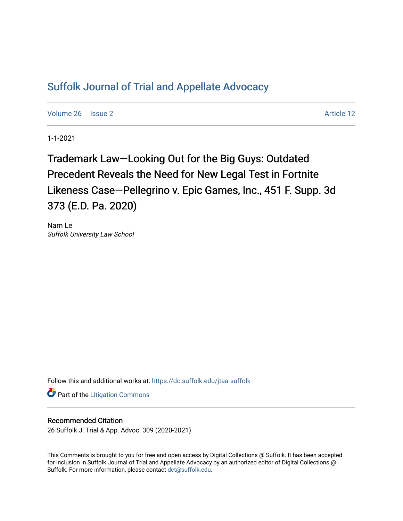## [Suffolk Journal of Trial and Appellate Advocacy](https://dc.suffolk.edu/jtaa-suffolk)

[Volume 26](https://dc.suffolk.edu/jtaa-suffolk/vol26) | [Issue 2](https://dc.suffolk.edu/jtaa-suffolk/vol26/iss2) Article 12

1-1-2021

Trademark Law—Looking Out for the Big Guys: Outdated Precedent Reveals the Need for New Legal Test in Fortnite Likeness Case—Pellegrino v. Epic Games, Inc., 451 F. Supp. 3d 373 (E.D. Pa. 2020)

Nam Le Suffolk University Law School

Follow this and additional works at: [https://dc.suffolk.edu/jtaa-suffolk](https://dc.suffolk.edu/jtaa-suffolk?utm_source=dc.suffolk.edu%2Fjtaa-suffolk%2Fvol26%2Fiss2%2F12&utm_medium=PDF&utm_campaign=PDFCoverPages) 

**Part of the [Litigation Commons](https://network.bepress.com/hgg/discipline/910?utm_source=dc.suffolk.edu%2Fjtaa-suffolk%2Fvol26%2Fiss2%2F12&utm_medium=PDF&utm_campaign=PDFCoverPages)** 

## Recommended Citation

26 Suffolk J. Trial & App. Advoc. 309 (2020-2021)

This Comments is brought to you for free and open access by Digital Collections @ Suffolk. It has been accepted for inclusion in Suffolk Journal of Trial and Appellate Advocacy by an authorized editor of Digital Collections @ Suffolk. For more information, please contact [dct@suffolk.edu.](mailto:dct@suffolk.edu)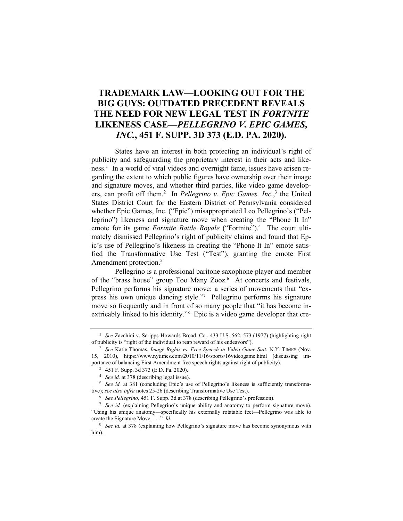## **TRADEMARK LAW—LOOKING OUT FOR THE BIG GUYS: OUTDATED PRECEDENT REVEALS THE NEED FOR NEW LEGAL TEST IN** *FORTNITE*  **LIKENESS CASE—***PELLEGRINO V. EPIC GAMES, INC.***, 451 F. SUPP. 3D 373 (E.D. PA. 2020).**

States have an interest in both protecting an individual's right of publicity and safeguarding the proprietary interest in their acts and likeness.<sup>1</sup> In a world of viral videos and overnight fame, issues have arisen regarding the extent to which public figures have ownership over their image and signature moves, and whether third parties, like video game developers, can profit off them.<sup>2</sup> In *Pellegrino v. Epic Games, Inc.*,<sup>3</sup> the United States District Court for the Eastern District of Pennsylvania considered whether Epic Games, Inc. ("Epic") misappropriated Leo Pellegrino's ("Pellegrino") likeness and signature move when creating the "Phone It In" emote for its game *Fortnite Battle Royale* ("Fortnite").<sup>4</sup> The court ultimately dismissed Pellegrino's right of publicity claims and found that Epic's use of Pellegrino's likeness in creating the "Phone It In" emote satisfied the Transformative Use Test ("Test"), granting the emote First Amendment protection.<sup>5</sup>

Pellegrino is a professional baritone saxophone player and member of the "brass house" group Too Many Zooz.<sup>6</sup> At concerts and festivals, Pellegrino performs his signature move: a series of movements that "express his own unique dancing style."<sup>7</sup> Pellegrino performs his signature move so frequently and in front of so many people that "it has become inextricably linked to his identity."<sup>8</sup> Epic is a video game developer that cre-

<sup>1</sup> *See* Zacchini v. Scripps-Howards Broad. Co., 433 U.S. 562, 573 (1977) (highlighting right of publicity is "right of the individual to reap reward of his endeavors").

<sup>2</sup> *See* Katie Thomas, *Image Rights vs. Free Speech in Video Game Suit*, N.Y. TIMES (Nov. 15, 2010), https://www.nytimes.com/2010/11/16/sports/16videogame.html (discussing importance of balancing First Amendment free speech rights against right of publicity).

<sup>3</sup> 451 F. Supp. 3d 373 (E.D. Pa. 2020).

<sup>4</sup> *See id.* at 378 (describing legal issue).

<sup>&</sup>lt;sup>5</sup> *See id.* at 381 (concluding Epic's use of Pellegrino's likeness is sufficiently transformative); *see also infra* notes 25-26 (describing Transformative Use Test).

<sup>6</sup> *See Pellegrino,* 451 F. Supp. 3d at 378 (describing Pellegrino's profession).

<sup>7</sup> *See id.* (explaining Pellegrino's unique ability and anatomy to perform signature move). "Using his unique anatomy—specifically his externally rotatable feet—Pellegrino was able to create the Signature Move. . . ." *Id.*

<sup>8</sup> *See id.* at 378 (explaining how Pellegrino's signature move has become synonymous with him).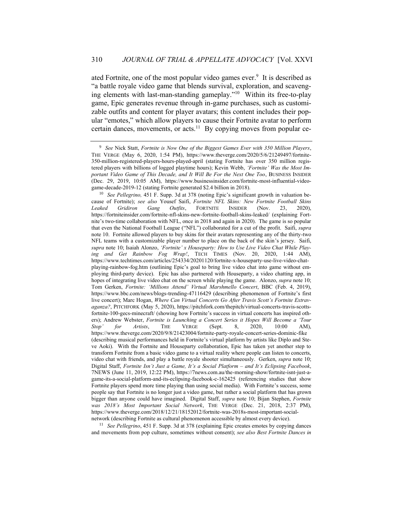ated Fortnite, one of the most popular video games ever.<sup>9</sup> It is described as "a battle royale video game that blends survival, exploration, and scavenging elements with last-man-standing gameplay."<sup>10</sup> Within its free-to-play game, Epic generates revenue through in-game purchases, such as customizable outfits and content for player avatars; this content includes their popular "emotes," which allow players to cause their Fortnite avatar to perform certain dances, movements, or acts.<sup>11</sup> By copying moves from popular ce-

<sup>11</sup> *See Pellegrino*, 451 F. Supp. 3d at 378 (explaining Epic creates emotes by copying dances and movements from pop culture, sometimes without consent); *see also Best Fortnite Dances in* 

<sup>9</sup> *See* Nick Statt, *Fortnite is Now One of the Biggest Games Ever with 350 Million Players*, THE VERGE (May 6, 2020, 1:54 PM), https://www.theverge.com/2020/5/6/21249497/fortnite-350-million-registered-players-hours-played-april (stating Fortnite has over 350 million registered players with billions of logged playtime hours); Kevin Webb, *'Fortnite' Was the Most Important Video Game of This Decade, and It Will Be For the Next One Too*, BUSINESS INSIDER (Dec. 29, 2019, 10:05 AM), https://www.businessinsider.com/fortnite-most-influential-videogame-decade-2019-12 (stating Fortnite generated \$2.4 billion in 2018).

<sup>&</sup>lt;sup>10</sup> *See Pellegrino*, 451 F. Supp. 3d at 378 (noting Epic's significant growth in valuation because of Fortnite); *see also* Yousef Saifi, *Fortnite NFL Skins: New Fortnite Football Skins Leaked Gridiron Gang Outfits*, FORTNITE INSIDER (Nov. 23, 2020), https://fortniteinsider.com/fortnite-nfl-skins-new-fortnite-football-skins-leaked/ (explaining Fortnite's two-time collaboration with NFL, once in 2018 and again in 2020). The game is so popular that even the National Football League ("NFL") collaborated for a cut of the profit. Saifi, *supra* note 10. Fortnite allowed players to buy skins for their avatars representing any of the thirty-two NFL teams with a customizable player number to place on the back of the skin's jersey. Saifi, *supra* note 10; Isaiah Alonzo, *'Fortnite' x Houseparty: How to Use Live Video Chat While Playing and Get Rainbow Fog Wrap!*, TECH TIMES (Nov. 20, 2020, 1:44 AM), https://www.techtimes.com/articles/254334/20201120/fortnite-x-houseparty-use-live-video-chatplaying-rainbow-fog.htm (outlining Epic's goal to bring live video chat into game without employing third-party device). Epic has also partnered with Houseparty, a video chatting app, in hopes of integrating live video chat on the screen while playing the game. Alonzo, *supra* note 10; Tom Gerken, *Fortnite: 'Millions Attend' Virtual Marshmello Concert*, BBC (Feb. 4, 2019), https://www.bbc.com/news/blogs-trending-47116429 (describing phenomenon of Fortnite's first live concert); Marc Hogan, *Where Can Virtual Concerts Go After Travis Scott's Fortnite Extravaganza?*, PITCHFORK (May 5, 2020), https://pitchfork.com/thepitch/virtual-concerts-travis-scottsfortnite-100-gecs-minecraft/ (showing how Fortnite's success in virtual concerts has inspired others); Andrew Webster, *Fortnite is Launching a Concert Series it Hopes Will Become a 'Tour Stop' for Artists*, THE VERGE (Sept. 8, 2020, 10:00 AM), https://www.theverge.com/2020/9/8/21423004/fortnite-party-royale-concert-series-dominic-fike (describing musical performances held in Fortnite's virtual platform by artists like Diplo and Steve Aoki). With the Fortnite and Houseparty collaboration, Epic has taken yet another step to transform Fortnite from a basic video game to a virtual reality where people can listen to concerts, video chat with friends, and play a battle royale shooter simultaneously. Gerken, *supra* note 10; Digital Staff, *Fortnite Isn't Just a Game, It's a Social Platform – and It's Eclipsing Facebook*, 7NEWS (June 11, 2019, 12:22 PM), https://7news.com.au/the-morning-show/fortnite-isnt-just-agame-its-a-social-platform-and-its-eclipsing-facebook-c-162425 (referencing studies that show Fortnite players spend more time playing than using social media). With Fortnite's success, some people say that Fortnite is no longer just a video game, but rather a social platform that has grown bigger than anyone could have imagined. Digital Staff, *supra* note 10; Bijan Stephen, *Fortnite was 2018's Most Important Social Network*, THE VERGE (Dec. 21, 2018, 2:37 PM), https://www.theverge.com/2018/12/21/18152012/fortnite-was-2018s-most-important-socialnetwork (describing Fortnite as cultural phenomenon accessible by almost every device).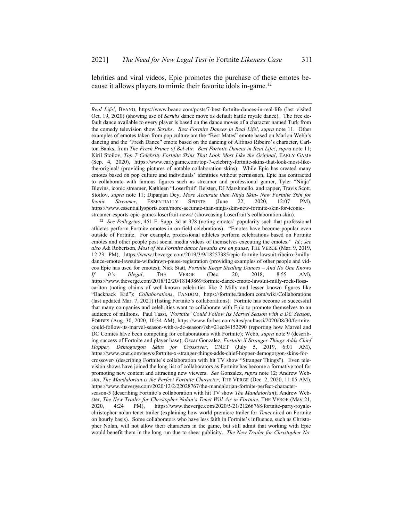lebrities and viral videos, Epic promotes the purchase of these emotes because it allows players to mimic their favorite idols in-game.<sup>12</sup>

<sup>12</sup> *See Pellegrino*, 451 F. Supp. 3d at 378 (noting emotes' popularity such that professional athletes perform Fortnite emotes in on-field celebrations). "Emotes have become popular even outside of Fortnite. For example, professional athletes perform celebrations based on Fortnite emotes and other people post social media videos of themselves executing the emotes." *Id.*; *see also* Adi Robertson, *Most of the Fortnite dance lawsuits are on pause*, THE VERGE (Mar. 9, 2019, 12:23 PM), https://www.theverge.com/2019/3/9/18257385/epic-fortnite-lawsuit-ribeiro-2millydance-emote-lawsuits-withdrawn-pause-registration (providing examples of other people and videos Epic has used for emotes); Nick Statt, *Fortnite Keeps Stealing Dances – And No One Knows If It's Illegal*, THE VERGE (Dec. 20, 2018, 8:55 AM), https://www.theverge.com/2018/12/20/18149869/fortnite-dance-emote-lawsuit-milly-rock-flosscarlton (noting claims of well-known celebrities like 2 Milly and lesser known figures like "Backpack Kid"); *Collaborations*, FANDOM, https://fortnite.fandom.com/wiki/Collaborations (last updated Mar. 7, 2021) (listing Fortnite's collaborations). Fortnite has become so successful that many companies and celebrities want to collaborate with Epic to promote themselves to an audience of millions. Paul Tassi, *'Fortnite' Could Follow Its Marvel Season with a DC Season*, FORBES (Aug. 30, 2020, 10:34 AM), https://www.forbes.com/sites/paultassi/2020/08/30/fortnitecould-follow-its-marvel-season-with-a-dc-season/?sh=21ec04152290 (reporting how Marvel and DC Comics have been competing for collaborations with Fortnite); Webb, *supra* note 9 (describing success of Fortnite and player base); Oscar Gonzalez, *Fortnite X Stranger Things Adds Chief Hopper, Demogorgon Skins for Crossover*, CNET (July 5, 2019, 6:01 AM), https://www.cnet.com/news/fortnite-x-stranger-things-adds-chief-hopper-demogorgon-skins-forcrossover/ (describing Fortnite's collaboration with hit TV show "Stranger Things"). Even television shows have joined the long list of collaborators as Fortnite has become a formative tool for promoting new content and attracting new viewers. *See* Gonzalez, *supra* note 12; Andrew Webster, *The Mandalorian is the Perfect Fortnite Character*, THE VERGE (Dec. 2, 2020, 11:05 AM), https://www.theverge.com/2020/12/2/22028767/the-mandalorian-fortnite-perfect-characterseason-5 (describing Fortnite's collaboration with hit TV show *The Mandalorian*); Andrew Webster, *The New Trailer for Christopher Nolan's Tenet Will Air in Fortnite*, THE VERGE (May 21, 2020, 4:24 PM), https://www.theverge.com/2020/5/21/21266768/fortnite-party-royale-

christopher-nolan-tenet-trailer (explaining how world premiere trailer for *Tenet* aired on Fortnite on hourly basis). Some collaborators who have less faith in Fortnite's influence, such as Christopher Nolan, will not allow their characters in the game, but still admit that working with Epic would benefit them in the long run due to sheer publicity. *The New Trailer for Christopher No-*

*Real Life!*, BEANO, https://www.beano.com/posts/7-best-fortnite-dances-in-real-life (last visited Oct. 19, 2020) (showing use of *Scrubs* dance move as default battle royale dance).The free default dance available to every player is based on the dance moves of a character named Turk from the comedy television show *Scrubs*. *Best Fortnite Dances in Real Life!*, *supra* note 11.Other examples of emotes taken from pop culture are the "Best Mates" emote based on Marlon Webb's dancing and the "Fresh Dance" emote based on the dancing of Alfonso Ribeiro's character, Carlton Banks, from *The Fresh Prince of Bel-Air*. *Best Fortnite Dances in Real Life!*, *supra* note 11; Kiril Stoilov, *Top 7 Celebrity Fortnite Skins That Look Most Like the Original*, EARLY GAME (Sep. 4, 2020), https://www.earlygame.com/top-7-celebrity-fortnite-skins-that-look-most-likethe-original/ (providing pictures of notable collaboration skins). While Epic has created many emotes based on pop culture and individuals' identities without permission, Epic has contracted to collaborate with famous figures such as streamer and professional gamer, Tyler "Ninja" Blevins, iconic streamer, Kathleen "Loserfruit" Belsten, DJ Marshmello, and rapper, Travis Scott. Stoilov, *supra* note 11; Dipanjan Dey, *More Accurate than Ninja Skin- New Fortnite Skin for Iconic Streamer*, ESSENTIALLY SPORTS (June 22, 2020, 12:07 PM), https://www.essentiallysports.com/more-accurate-than-ninja-skin-new-fortnite-skin-for-iconicstreamer-esports-epic-games-loserfruit-news/ (showcasing Loserfruit's collaboration skin).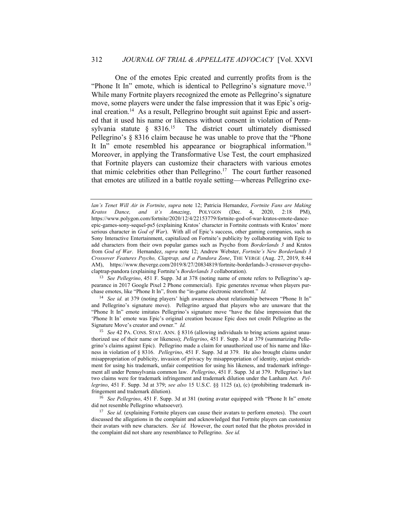One of the emotes Epic created and currently profits from is the "Phone It In" emote, which is identical to Pellegrino's signature move.<sup>13</sup> While many Fortnite players recognized the emote as Pellegrino's signature move, some players were under the false impression that it was Epic's original creation.<sup>14</sup> As a result, Pellegrino brought suit against Epic and asserted that it used his name or likeness without consent in violation of Pennsylvania statute § 8316.<sup>15</sup> The district court ultimately dismissed Pellegrino's § 8316 claim because he was unable to prove that the "Phone It In" emote resembled his appearance or biographical information.<sup>16</sup> Moreover, in applying the Transformative Use Test, the court emphasized that Fortnite players can customize their characters with various emotes that mimic celebrities other than Pellegrino.<sup>17</sup> The court further reasoned that emotes are utilized in a battle royale setting—whereas Pellegrino exe-

<sup>13</sup> *See Pellegrino*, 451 F. Supp. 3d at 378 (noting name of emote refers to Pellegrino's appearance in 2017 Google Pixel 2 Phone commercial). Epic generates revenue when players purchase emotes, like "Phone It In", from the "in-game electronic storefront." *Id.*

<sup>14</sup> *See id.* at 379 (noting players' high awareness about relationship between "Phone It In" and Pellegrino's signature move). Pellegrino argued that players who are unaware that the "Phone It In" emote imitates Pellegrino's signature move "have the false impression that the 'Phone It In' emote was Epic's original creation because Epic does not credit Pellegrino as the Signature Move's creator and owner." *Id.*

<sup>15</sup> *See* 42 PA. CONS. STAT. ANN. § 8316 (allowing individuals to bring actions against unauthorized use of their name or likeness); *Pellegrino*, 451 F. Supp. 3d at 379 (summarizing Pellegrino's claims against Epic). Pellegrino made a claim for unauthorized use of his name and likeness in violation of § 8316. *Pellegrino*, 451 F. Supp. 3d at 379. He also brought claims under misappropriation of publicity, invasion of privacy by misappropriation of identity, unjust enrichment for using his trademark, unfair competition for using his likeness, and trademark infringement all under Pennsylvania common law. *Pellegrino*, 451 F. Supp. 3d at 379. Pellegrino's last two claims were for trademark infringement and trademark dilution under the Lanham Act. *Pellegrino*, 451 F. Supp. 3d at 379; *see also* 15 U.S.C. §§ 1125 (a), (c) (prohibiting trademark infringement and trademark dilution).

<sup>16</sup> *See Pellegrino*, 451 F. Supp. 3d at 381 (noting avatar equipped with "Phone It In" emote did not resemble Pellegrino whatsoever).

<sup>17</sup> *See id.* (explaining Fortnite players can cause their avatars to perform emotes). The court discussed the allegations in the complaint and acknowledged that Fortnite players can customize their avatars with new characters. *See id.* However, the court noted that the photos provided in the complaint did not share any resemblance to Pellegrino. *See id.*

*lan's Tenet Will Air in Fortnite*, *supra* note 12; Patricia Hernandez, *Fortnite Fans are Making Kratos Dance, and it's Amazing*, POLYGON (Dec. 4, 2020, 2:18 PM), https://www.polygon.com/fortnite/2020/12/4/22153779/fortnite-god-of-war-kratos-emote-danceepic-games-sony-sequel-ps5 (explaining Kratos' character in Fortnite contrasts with Kratos' more serious character in *God of War*). With all of Epic's success, other gaming companies, such as Sony Interactive Entertainment, capitalized on Fortnite's publicity by collaborating with Epic to add characters from their own popular games such as Psycho from *Borderlands 3* and Kratos from *God of War*. Hernandez, *supra* note 12; Andrew Webster, *Fortnite's New Borderlands 3 Crossover Features Psycho, Claptrap, and a Pandora Zone*, THE VERGE (Aug. 27, 2019, 8:44 AM), https://www.theverge.com/2019/8/27/20834819/fortnite-borderlands-3-crossover-psychoclaptrap-pandora (explaining Fortnite's *Borderlands 3* collaboration).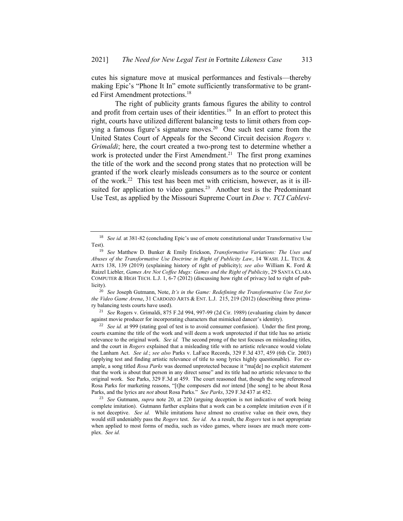cutes his signature move at musical performances and festivals—thereby making Epic's "Phone It In" emote sufficiently transformative to be granted First Amendment protections.<sup>18</sup>

The right of publicity grants famous figures the ability to control and profit from certain uses of their identities.<sup>19</sup> In an effort to protect this right, courts have utilized different balancing tests to limit others from copying a famous figure's signature moves.<sup>20</sup> One such test came from the United States Court of Appeals for the Second Circuit decision *Rogers v. Grimaldi*; here, the court created a two-prong test to determine whether a work is protected under the First Amendment.<sup>21</sup> The first prong examines the title of the work and the second prong states that no protection will be granted if the work clearly misleads consumers as to the source or content of the work.<sup>22</sup> This test has been met with criticism, however, as it is illsuited for application to video games.<sup>23</sup> Another test is the Predominant Use Test, as applied by the Missouri Supreme Court in *Doe v. TCI Cablevi-*

<sup>20</sup> *See* Joseph Gutmann, Note, *It's in the Game: Redefining the Transformative Use Test for the Video Game Arena*, 31 CARDOZO ARTS & ENT. L.J. 215, 219 (2012) (describing three primary balancing tests courts have used).

<sup>21</sup> *See* Rogers v. Grimaldi, 875 F.2d 994, 997-99 (2d Cir. 1989) (evaluating claim by dancer against movie producer for incorporating characters that mimicked dancer's identity).

<sup>22</sup> *See id.* at 999 (stating goal of test is to avoid consumer confusion). Under the first prong, courts examine the title of the work and will deem a work unprotected if that title has no artistic relevance to the original work. *See id.* The second prong of the test focuses on misleading titles, and the court in *Rogers* explained that a misleading title with no artistic relevance would violate the Lanham Act. *See id.*; *see also* Parks v. LaFace Records, 329 F.3d 437, 459 (6th Cir. 2003) (applying test and finding artistic relevance of title to song lyrics highly questionable). For example, a song titled *Rosa Parks* was deemed unprotected because it "ma[de] no explicit statement that the work is about that person in any direct sense" and its title had no artistic relevance to the original work. See Parks, 329 F.3d at 459. The court reasoned that, though the song referenced Rosa Parks for marketing reasons, "[t]he composers did *not* intend [the song] to be about Rosa Parks, and the lyrics are *not* about Rosa Parks." *See Parks*, 329 F.3d 437 at 452.

<sup>23</sup> *See* Gutmann, *supra* note 20, at 220 (arguing deception is not indicative of work being complete imitation). Gutmann further explains that a work can be a complete imitation even if it is not deceptive. *See id.* While imitations have almost no creative value on their own, they would still undeniably pass the *Rogers* test. *See id.* As a result, the *Rogers* test is not appropriate when applied to most forms of media, such as video games, where issues are much more complex. *See id.*

<sup>&</sup>lt;sup>18</sup> *See id.* at 381-82 (concluding Epic's use of emote constitutional under Transformative Use Test).

<sup>19</sup> *See* Matthew D. Bunker & Emily Erickson, *Transformative Variations: The Uses and Abuses of the Transformative Use Doctrine in Right of Publicity Law*, 14 WASH. J.L. TECH. & ARTS 138, 139 (2019) (explaining history of right of publicity); *see also* William K. Ford & Raizel Liebler, *Games Are Not Coffee Mugs: Games and the Right of Publicity*, 29 SANTA CLARA COMPUTER & HIGH TECH. L.J. 1, 6-7 (2012) (discussing how right of privacy led to right of publicity).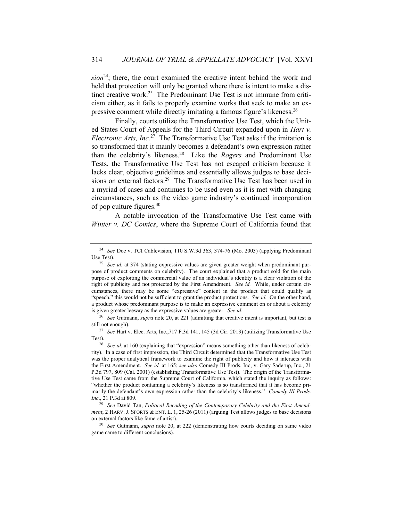*sion*<sup>24</sup>; there, the court examined the creative intent behind the work and held that protection will only be granted where there is intent to make a distinct creative work.<sup>25</sup> The Predominant Use Test is not immune from criticism either, as it fails to properly examine works that seek to make an expressive comment while directly imitating a famous figure's likeness.<sup>26</sup>

Finally, courts utilize the Transformative Use Test, which the United States Court of Appeals for the Third Circuit expanded upon in *Hart v. Electronic Arts, Inc.*<sup>27</sup> The Transformative Use Test asks if the imitation is so transformed that it mainly becomes a defendant's own expression rather than the celebrity's likeness.<sup>28</sup> Like the *Rogers* and Predominant Use Tests, the Transformative Use Test has not escaped criticism because it lacks clear, objective guidelines and essentially allows judges to base decisions on external factors.<sup>29</sup> The Transformative Use Test has been used in a myriad of cases and continues to be used even as it is met with changing circumstances, such as the video game industry's continued incorporation of pop culture figures.<sup>30</sup>

A notable invocation of the Transformative Use Test came with *Winter v. DC Comics*, where the Supreme Court of California found that

<sup>26</sup> *See* Gutmann, *supra* note 20, at 221 (admitting that creative intent is important, but test is still not enough).

<sup>27</sup> *See* Hart v. Elec. Arts, Inc.,717 F.3d 141, 145 (3d Cir. 2013) (utilizing Transformative Use Test).

<sup>24</sup> *See* Doe v. TCI Cablevision, 110 S.W.3d 363, 374-76 (Mo. 2003) (applying Predominant Use Test).

<sup>25</sup> *See id.* at 374 (stating expressive values are given greater weight when predominant purpose of product comments on celebrity). The court explained that a product sold for the main purpose of exploiting the commercial value of an individual's identity is a clear violation of the right of publicity and not protected by the First Amendment. *See id.* While, under certain circumstances, there may be some "expressive" content in the product that could qualify as "speech," this would not be sufficient to grant the product protections. *See id.* On the other hand, a product whose predominant purpose is to make an expressive comment on or about a celebrity is given greater leeway as the expressive values are greater. *See id.*

<sup>28</sup> *See id.* at 160 (explaining that "expression" means something other than likeness of celebrity). In a case of first impression, the Third Circuit determined that the Transformative Use Test was the proper analytical framework to examine the right of publicity and how it interacts with the First Amendment. *See id.* at 165; *see also* Comedy III Prods. Inc, v. Gary Saderup, Inc., 21 P.3d 797, 809 (Cal. 2001) (establishing Transformative Use Test). The origin of the Transformative Use Test came from the Supreme Court of California, which stated the inquiry as follows: "whether the product containing a celebrity's likeness is so transformed that it has become primarily the defendant's own expression rather than the celebrity's likeness." *Comedy III Prods. Inc*., 21 P.3d at 809.

<sup>29</sup> *See* David Tan, *Political Recoding of the Contemporary Celebrity and the First Amendment*, 2 HARV. J. SPORTS & ENT. L. 1, 25-26 (2011) (arguing Test allows judges to base decisions on external factors like fame of artist).

<sup>30</sup> *See* Gutmann, *supra* note 20, at 222 (demonstrating how courts deciding on same video game came to different conclusions).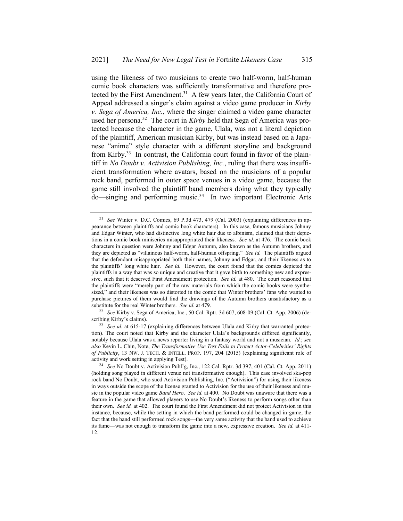using the likeness of two musicians to create two half-worm, half-human comic book characters was sufficiently transformative and therefore protected by the First Amendment.<sup>31</sup> A few years later, the California Court of Appeal addressed a singer's claim against a video game producer in *Kirby v. Sega of America, Inc.*, where the singer claimed a video game character used her persona.<sup>32</sup> The court in *Kirby* held that Sega of America was protected because the character in the game, Ulala, was not a literal depiction of the plaintiff, American musician Kirby, but was instead based on a Japanese "anime" style character with a different storyline and background from Kirby.<sup>33</sup> In contrast, the California court found in favor of the plaintiff in *No Doubt v. Activision Publishing, Inc.*, ruling that there was insufficient transformation where avatars, based on the musicians of a popular rock band, performed in outer space venues in a video game, because the game still involved the plaintiff band members doing what they typically do—singing and performing music.<sup>34</sup> In two important Electronic Arts

<sup>31</sup> *See* Winter v. D.C. Comics, 69 P.3d 473, 479 (Cal. 2003) (explaining differences in appearance between plaintiffs and comic book characters). In this case, famous musicians Johnny and Edgar Winter, who had distinctive long white hair due to albinism, claimed that their depictions in a comic book miniseries misappropriated their likeness. *See id.* at 476*.* The comic book characters in question were Johnny and Edgar Autumn, also known as the Autumn brothers, and they are depicted as "villainous half-worm, half-human offspring." *See id.* The plaintiffs argued that the defendant misappropriated both their names, Johnny and Edgar, and their likeness as to the plaintiffs' long white hair. *See id.* However, the court found that the comics depicted the plaintiffs in a way that was so unique and creative that it gave birth to something new and expressive, such that it deserved First Amendment protection. *See id.* at 480. The court reasoned that the plaintiffs were "merely part of the raw materials from which the comic books were synthesized," and their likeness was so distorted in the comic that Winter brothers' fans who wanted to purchase pictures of them would find the drawings of the Autumn brothers unsatisfactory as a substitute for the real Winter brothers. *See id.* at 479.

<sup>32</sup> *See* Kirby v. Sega of America, Inc., 50 Cal. Rptr. 3d 607, 608-09 (Cal. Ct. App. 2006) (describing Kirby's claims).

<sup>&</sup>lt;sup>33</sup> *See id.* at 615-17 (explaining differences between Ulala and Kirby that warranted protection). The court noted that Kirby and the character Ulala's backgrounds differed significantly, notably because Ulala was a news reporter living in a fantasy world and not a musician. *Id.*; *see also* Kevin L. Chin, Note, *The Transformative Use Test Fails to Protect Actor-Celebrities' Rights of Publicity*, 13 NW. J. TECH. & INTELL. PROP. 197, 204 (2015) (explaining significant role of activity and work setting in applying Test).

<sup>34</sup> *See* No Doubt v. Activision Publ'g, Inc., 122 Cal. Rptr. 3d 397, 401 (Cal. Ct. App. 2011) (holding song played in different venue not transformative enough). This case involved ska-pop rock band No Doubt, who sued Activision Publishing, Inc. ("Activision") for using their likeness in ways outside the scope of the license granted to Activision for the use of their likeness and music in the popular video game *Band Hero*. *See id.* at 400. No Doubt was unaware that there was a feature in the game that allowed players to use No Doubt's likeness to perform songs other than their own. *See id.* at 402. The court found the First Amendment did not protect Activision in this instance, because, while the setting in which the band performed could be changed in-game, the fact that the band still performed rock songs—the very same activity that the band used to achieve its fame—was not enough to transform the game into a new, expressive creation. *See id.* at 411- 12.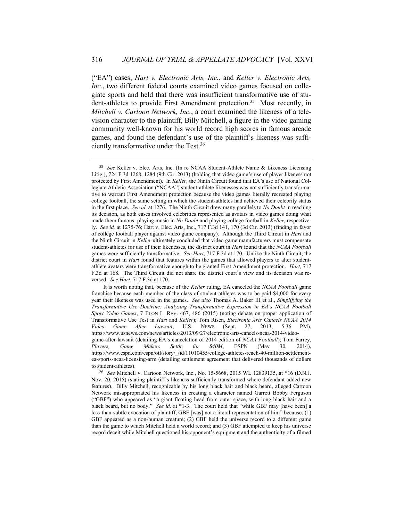("EA") cases, *Hart v. Electronic Arts, Inc.*, and *Keller v. Electronic Arts, Inc.*, two different federal courts examined video games focused on collegiate sports and held that there was insufficient transformative use of student-athletes to provide First Amendment protection.<sup>35</sup> Most recently, in *Mitchell v. Cartoon Network, Inc.*, a court examined the likeness of a television character to the plaintiff, Billy Mitchell, a figure in the video gaming community well-known for his world record high scores in famous arcade games, and found the defendant's use of the plaintiff's likeness was sufficiently transformative under the Test.<sup>36</sup>

<sup>35</sup> *See* Keller v. Elec. Arts, Inc. (In re NCAA Student-Athlete Name & Likeness Licensing Litig.), 724 F.3d 1268, 1284 (9th Cir. 2013) (holding that video game's use of player likeness not protected by First Amendment). In *Keller*, the Ninth Circuit found that EA's use of National Collegiate Athletic Association ("NCAA") student-athlete likenesses was not sufficiently transformative to warrant First Amendment protection because the video games literally recreated playing college football, the same setting in which the student-athletes had achieved their celebrity status in the first place. *See id.* at 1276. The Ninth Circuit drew many parallels to *No Doubt* in reaching its decision, as both cases involved celebrities represented as avatars in video games doing what made them famous: playing music in *No Doubt* and playing college football in *Keller*, respectively. *See id.* at 1275-76; Hart v. Elec. Arts, Inc., 717 F.3d 141, 170 (3d Cir. 2013) (finding in favor of college football player against video game company). Although the Third Circuit in *Hart* and the Ninth Circuit in *Keller* ultimately concluded that video game manufacturers must compensate student-athletes for use of their likenesses, the district court in *Hart* found that the *NCAA Football*  games were sufficiently transformative. *See Hart*, 717 F.3d at 170. Unlike the Ninth Circuit, the district court in *Hart* found that features within the games that allowed players to alter studentathlete avatars were transformative enough to be granted First Amendment protection. *Hart,* 717 F.3d at 168. The Third Circuit did not share the district court's view and its decision was reversed. *See Hart*, 717 F.3d at 170.

It is worth noting that, because of the *Keller* ruling, EA canceled the *NCAA Football* game franchise because each member of the class of student-athletes was to be paid \$4,000 for every year their likeness was used in the games. *See also* Thomas A. Baker III et al., *Simplifying the Transformative Use Doctrine: Analyzing Transformative Expression in EA's NCAA Football Sport Video Games*, 7 ELON L. REV. 467, 486 (2015) (noting debate on proper application of Transformative Use Test in *Hart* and *Keller*); Tom Risen, *Electronic Arts Cancels NCAA 2014 Video Game After Lawsuit*, U.S. NEWS (Sept. 27, 2013, 5:36 PM), https://www.usnews.com/news/articles/2013/09/27/electronic-arts-cancels-ncaa-2014-videogame-after-lawsuit (detailing EA's cancelation of 2014 edition of *NCAA Football*); Tom Farrey, *Players, Game Makers Settle for \$40M*, ESPN (May 30, 2014), https://www.espn.com/espn/otl/story/\_/id/11010455/college-athletes-reach-40-million-settlementea-sports-ncaa-licensing-arm (detailing settlement agreement that delivered thousands of dollars to student-athletes).

<sup>36</sup> *See* Mitchell v. Cartoon Network, Inc., No. 15-5668, 2015 WL 12839135, at \*16 (D.N.J. Nov. 20, 2015) (stating plaintiff's likeness sufficiently transformed where defendant added new features). Billy Mitchell, recognizable by his long black hair and black beard, alleged Cartoon Network misappropriated his likeness in creating a character named Garrett Bobby Ferguson ("GBF") who appeared as "a giant floating head from outer space, with long black hair and a black beard, but no body." *See id.* at \*1-3. The court held that "while GBF may [have been] a less-than-subtle evocation of plaintiff, GBF [was] not a literal representation of him" because: (1) GBF appeared as a non-human creature; (2) GBF held the universe record to a different game than the game to which Mitchell held a world record; and (3) GBF attempted to keep his universe record deceit while Mitchell questioned his opponent's equipment and the authenticity of a filmed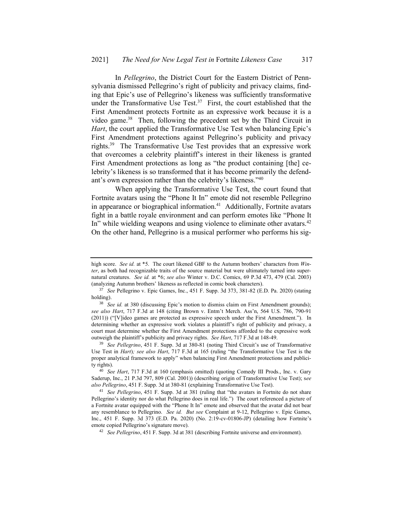In *Pellegrino*, the District Court for the Eastern District of Pennsylvania dismissed Pellegrino's right of publicity and privacy claims, finding that Epic's use of Pellegrino's likeness was sufficiently transformative under the Transformative Use Test.<sup>37</sup> First, the court established that the First Amendment protects Fortnite as an expressive work because it is a video game.<sup>38</sup> Then, following the precedent set by the Third Circuit in *Hart*, the court applied the Transformative Use Test when balancing Epic's First Amendment protections against Pellegrino's publicity and privacy rights.<sup>39</sup> The Transformative Use Test provides that an expressive work that overcomes a celebrity plaintiff's interest in their likeness is granted First Amendment protections as long as "the product containing [the] celebrity's likeness is so transformed that it has become primarily the defendant's own expression rather than the celebrity's likeness."<sup>40</sup>

When applying the Transformative Use Test, the court found that Fortnite avatars using the "Phone It In" emote did not resemble Pellegrino in appearance or biographical information.<sup>41</sup> Additionally, Fortnite avatars fight in a battle royale environment and can perform emotes like "Phone It In" while wielding weapons and using violence to eliminate other avatars.<sup>42</sup> On the other hand, Pellegrino is a musical performer who performs his sig-

high score. *See id.* at \*5. The court likened GBF to the Autumn brothers' characters from *Winter*, as both had recognizable traits of the source material but were ultimately turned into supernatural creatures. *See id.* at \*6; *see also* Winter v. D.C. Comics, 69 P.3d 473, 479 (Cal. 2003) (analyzing Autumn brothers' likeness as reflected in comic book characters).

<sup>37</sup> *See* Pellegrino v. Epic Games, Inc., 451 F. Supp. 3d 373, 381-82 (E.D. Pa. 2020) (stating holding).

<sup>&</sup>lt;sup>38</sup> *See id.* at 380 (discussing Epic's motion to dismiss claim on First Amendment grounds); *see also Hart*, 717 F.3d at 148 (citing Brown v. Entm't Merch. Ass'n, 564 U.S. 786, 790-91 (2011)) ("[V]ideo games are protected as expressive speech under the First Amendment."). In determining whether an expressive work violates a plaintiff's right of publicity and privacy, a court must determine whether the First Amendment protections afforded to the expressive work outweigh the plaintiff's publicity and privacy rights. *See Hart*, 717 F.3d at 148-49.

<sup>39</sup> *See Pellegrino*, 451 F. Supp. 3d at 380-81 (noting Third Circuit's use of Transformative Use Test in *Hart*)*; see also Hart*, 717 F.3d at 165 (ruling "the Transformative Use Test is the proper analytical framework to apply" when balancing First Amendment protections and publicity rights).

<sup>40</sup> *See Hart*, 717 F.3d at 160 (emphasis omitted) (quoting Comedy III Prods., Inc. v. Gary Saderup, Inc., 21 P.3d 797, 809 (Cal. 2001)) (describing origin of Transformative Use Test); s*ee also Pellegrino*, 451 F. Supp. 3d at 380-81 (explaining Transformative Use Test).

<sup>41</sup> *See Pellegrino*, 451 F. Supp. 3d at 381 (ruling that "the avatars in Fortnite do not share Pellegrino's identity nor do what Pellegrino does in real life.") The court referenced a picture of a Fortnite avatar equipped with the "Phone It In" emote and observed that the avatar did not bear any resemblance to Pellegrino. *See id. But see* Complaint at 9-12, Pellegrino v. Epic Games, Inc., 451 F. Supp. 3d 373 (E.D. Pa. 2020) (No. 2:19-cv-01806-JP) (detailing how Fortnite's emote copied Pellegrino's signature move).

<sup>42</sup> *See Pellegrino*, 451 F. Supp. 3d at 381 (describing Fortnite universe and environment).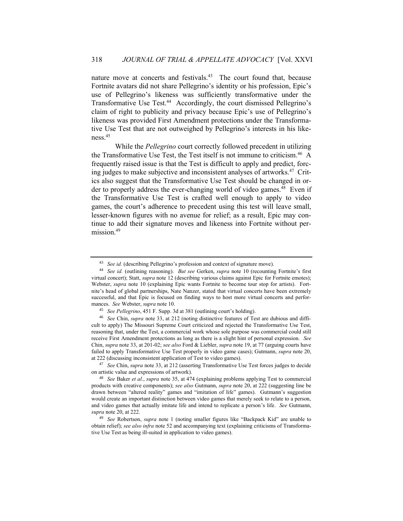nature move at concerts and festivals.<sup>43</sup> The court found that, because Fortnite avatars did not share Pellegrino's identity or his profession, Epic's use of Pellegrino's likeness was sufficiently transformative under the Transformative Use Test.<sup>44</sup> Accordingly, the court dismissed Pellegrino's claim of right to publicity and privacy because Epic's use of Pellegrino's likeness was provided First Amendment protections under the Transformative Use Test that are not outweighed by Pellegrino's interests in his likeness.<sup>45</sup>

While the *Pellegrino* court correctly followed precedent in utilizing the Transformative Use Test, the Test itself is not immune to criticism.<sup>46</sup> A frequently raised issue is that the Test is difficult to apply and predict, forcing judges to make subjective and inconsistent analyses of artworks.<sup>47</sup> Critics also suggest that the Transformative Use Test should be changed in order to properly address the ever-changing world of video games.<sup>48</sup> Even if the Transformative Use Test is crafted well enough to apply to video games, the court's adherence to precedent using this test will leave small, lesser-known figures with no avenue for relief; as a result, Epic may continue to add their signature moves and likeness into Fortnite without permission.<sup>49</sup>

<sup>47</sup> *See* Chin, *supra* note 33, at 212 (asserting Transformative Use Test forces judges to decide on artistic value and expressions of artwork).

<sup>&</sup>lt;sup>43</sup> *See id.* (describing Pellegrino's profession and context of signature move).

<sup>44</sup> *See id.* (outlining reasoning). *But see* Gerken, *supra* note 10 (recounting Fortnite's first virtual concert); Statt, *supra* note 12 (describing various claims against Epic for Fortnite emotes); Webster, *supra* note 10 (explaining Epic wants Fortnite to become tour stop for artists). Fortnite's head of global partnerships, Nate Nanzer, stated that virtual concerts have been extremely successful, and that Epic is focused on finding ways to host more virtual concerts and performances. *See* Webster, *supra* note 10.

<sup>45</sup> *See Pellegrino*, 451 F. Supp. 3d at 381 (outlining court's holding).

<sup>46</sup> *See* Chin, *supra* note 33, at 212 (noting distinctive features of Test are dubious and difficult to apply) The Missouri Supreme Court criticized and rejected the Transformative Use Test, reasoning that, under the Test, a commercial work whose sole purpose was commercial could still receive First Amendment protections as long as there is a slight hint of personal expression. *See*  Chin, *supra* note 33, at 201-02; *see also* Ford & Liebler, *supra* note 19, at 77 (arguing courts have failed to apply Transformative Use Test properly in video game cases); Gutmann, *supra* note 20, at 222 (discussing inconsistent application of Test to video games).

<sup>48</sup> *See* Baker *et al.*, *supra* note 35, at 474 (explaining problems applying Test to commercial products with creative components); *see also* Gutmann, *supra* note 20, at 222 (suggesting line be drawn between "altered reality" games and "imitation of life" games). Gutmann's suggestion would create an important distinction between video games that merely seek to relate to a person, and video games that actually imitate life and intend to replicate a person's life. *See* Gutmann, *supra* note 20, at 222.

<sup>49</sup> *See* Robertson, *supra* note 1 (noting smaller figures like "Backpack Kid" are unable to obtain relief); *see also infra* note 52 and accompanying text (explaining criticisms of Transformative Use Test as being ill-suited in application to video games).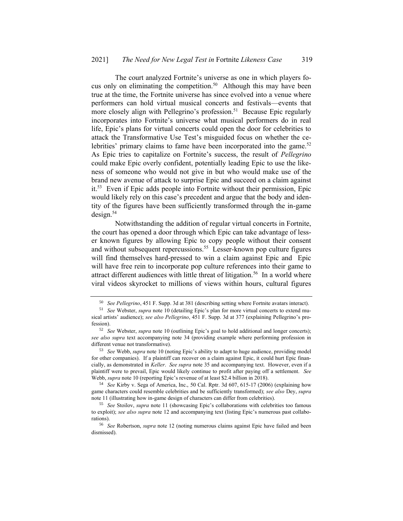The court analyzed Fortnite's universe as one in which players focus only on eliminating the competition.<sup>50</sup> Although this may have been true at the time, the Fortnite universe has since evolved into a venue where performers can hold virtual musical concerts and festivals—events that more closely align with Pellegrino's profession.<sup>51</sup> Because Epic regularly incorporates into Fortnite's universe what musical performers do in real life, Epic's plans for virtual concerts could open the door for celebrities to attack the Transformative Use Test's misguided focus on whether the celebrities' primary claims to fame have been incorporated into the game.<sup>52</sup> As Epic tries to capitalize on Fortnite's success, the result of *Pellegrino*  could make Epic overly confident, potentially leading Epic to use the likeness of someone who would not give in but who would make use of the brand new avenue of attack to surprise Epic and succeed on a claim against it.<sup>53</sup> Even if Epic adds people into Fortnite without their permission, Epic would likely rely on this case's precedent and argue that the body and identity of the figures have been sufficiently transformed through the in-game  $design.<sup>54</sup>$ 

Notwithstanding the addition of regular virtual concerts in Fortnite, the court has opened a door through which Epic can take advantage of lesser known figures by allowing Epic to copy people without their consent and without subsequent repercussions.<sup>55</sup> Lesser-known pop culture figures will find themselves hard-pressed to win a claim against Epic and Epic will have free rein to incorporate pop culture references into their game to attract different audiences with little threat of litigation.<sup>56</sup> In a world where viral videos skyrocket to millions of views within hours, cultural figures

<sup>50</sup> *See Pellegrino*, 451 F. Supp. 3d at 381 (describing setting where Fortnite avatars interact).

<sup>51</sup> *See* Webster, *supra* note 10 (detailing Epic's plan for more virtual concerts to extend musical artists' audience); *see also Pellegrino*, 451 F. Supp. 3d at 377 (explaining Pellegrino's profession).

<sup>52</sup> *See* Webster, *supra* note 10 (outlining Epic's goal to hold additional and longer concerts); *see also supra* text accompanying note 34 (providing example where performing profession in different venue not transformative).

<sup>53</sup> *See* Webb, *supra* note 10 (noting Epic's ability to adapt to huge audience, providing model for other companies). If a plaintiff can recover on a claim against Epic, it could hurt Epic financially, as demonstrated in *Keller*. *See supra* note 35 and accompanying text. However, even if a plaintiff were to prevail, Epic would likely continue to profit after paying off a settlement. *See*  Webb, *supra* note 10 (reporting Epic's revenue of at least \$2.4 billion in 2018).

<sup>54</sup> *See* Kirby v. Sega of America, Inc., 50 Cal. Rptr. 3d 607, 615-17 (2006) (explaining how game characters could resemble celebrities and be sufficiently transformed); *see also* Dey, *supra*  note 11 (illustrating how in-game design of characters can differ from celebrities).

<sup>55</sup> *See* Stoilov, *supra* note 11 (showcasing Epic's collaborations with celebrities too famous to exploit); *see also supra* note 12 and accompanying text (listing Epic's numerous past collaborations).

<sup>56</sup> *See* Robertson, *supra* note 12 (noting numerous claims against Epic have failed and been dismissed).